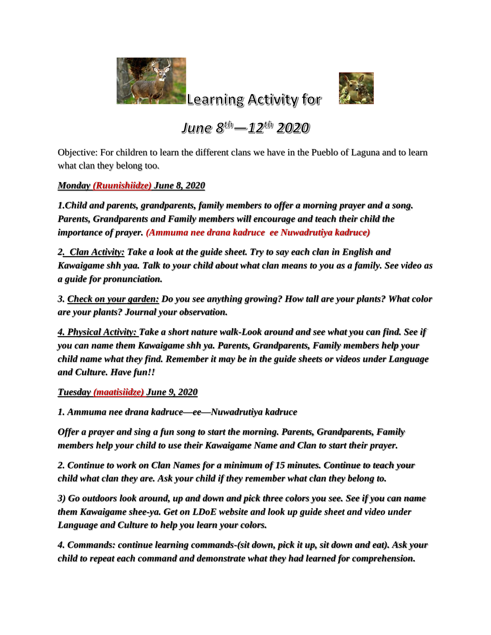

Learning Activity for



June  $8^{th} - 12^{th}$  2020

Objective: For children to learn the different clans we have in the Pueblo of Laguna and to learn what clan they belong too.

*Monday (Ruunishiidze) June 8, 2020*

*1.Child and parents, grandparents, family members to offer a morning prayer and a song. Parents, Grandparents and Family members will encourage and teach their child the importance of prayer. (Ammuma nee drana kadruce ee Nuwadrutiya kadruce)*

*2. Clan Activity: Take a look at the guide sheet. Try to say each clan in English and Kawaigame shh yaa. Talk to your child about what clan means to you as a family. See video as a guide for pronunciation.* 

*3. Check on your garden: Do you see anything growing? How tall are your plants? What color are your plants? Journal your observation.* 

*4. Physical Activity: Take a short nature walk-Look around and see what you can find. See if you can name them Kawaigame shh ya. Parents, Grandparents, Family members help your child name what they find. Remember it may be in the guide sheets or videos under Language and Culture. Have fun!!*

*Tuesday (maatisiidze) June 9, 2020*

*1. Ammuma nee drana kadruce—ee—Nuwadrutiya kadruce*

*Offer a prayer and sing a fun song to start the morning. Parents, Grandparents, Family members help your child to use their Kawaigame Name and Clan to start their prayer.*

*2. Continue to work on Clan Names for a minimum of 15 minutes. Continue to teach your child what clan they are. Ask your child if they remember what clan they belong to.* 

*3) Go outdoors look around, up and down and pick three colors you see. See if you can name them Kawaigame shee-ya. Get on LDoE website and look up guide sheet and video under Language and Culture to help you learn your colors.*

*4. Commands: continue learning commands-(sit down, pick it up, sit down and eat). Ask your child to repeat each command and demonstrate what they had learned for comprehension.*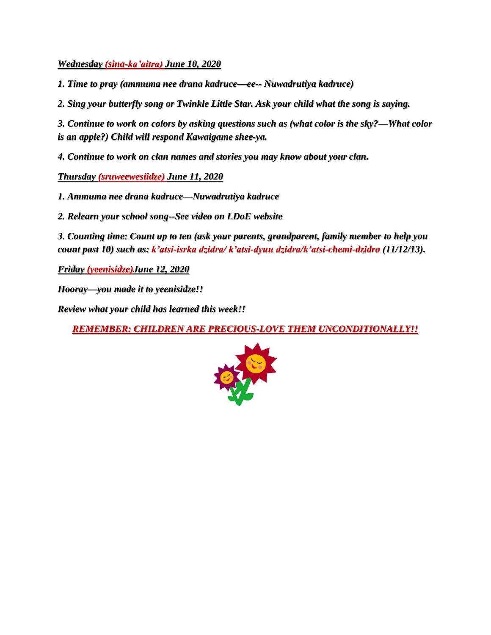*Wednesday (sina-ka'aitra) June 10, 2020*

*1. Time to pray (ammuma nee drana kadruce—ee-- Nuwadrutiya kadruce)*

*2. Sing your butterfly song or Twinkle Little Star. Ask your child what the song is saying.* 

*3. Continue to work on colors by asking questions such as (what color is the sky?—What color is an apple?) Child will respond Kawaigame shee-ya.* 

*4. Continue to work on clan names and stories you may know about your clan.* 

*Thursday (sruweewesiidze) June 11, 2020*

*1. Ammuma nee drana kadruce—Nuwadrutiya kadruce*

*2. Relearn your school song--See video on LDoE website*

*3. Counting time: Count up to ten (ask your parents, grandparent, family member to help you count past 10) such as: k'atsi-isrka dzidra/ k'atsi-dyuu dzidra/k'atsi-chemi-dzidra (11/12/13).*

*Friday (yeenisidze)June 12, 2020*

*Hooray—you made it to yeenisidze!!*

*Review what your child has learned this week!!*

*REMEMBER: CHILDREN ARE PRECIOUS-LOVE THEM UNCONDITIONALLY!!*

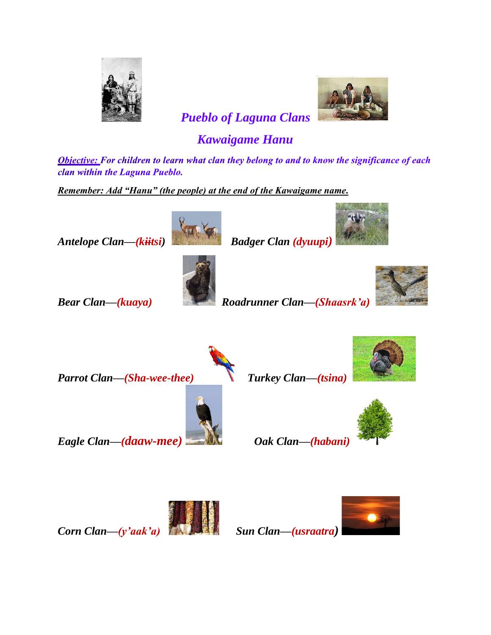



 *Pueblo of Laguna Clans* 

## *Kawaigame Hanu*

Objective: For children to learn what clan they belong to and to know the significance of each clan within the Laguna Pueblo.

*Remember: Add "Hanu" (the people) at the end of the Kawaigame name.*





*Bear Clan—(kuaya) Roadrunner Clan—(Shaasrk'a)* 



*Parrot Clan—(Sha-wee-thee) Turkey Clan—(tsina)* 











*Eagle Clan—(daaw-mee) Oak Clan—(habani)* 



*Corn Clan—(y'aak'a) Sun Clan—(usraatra)*